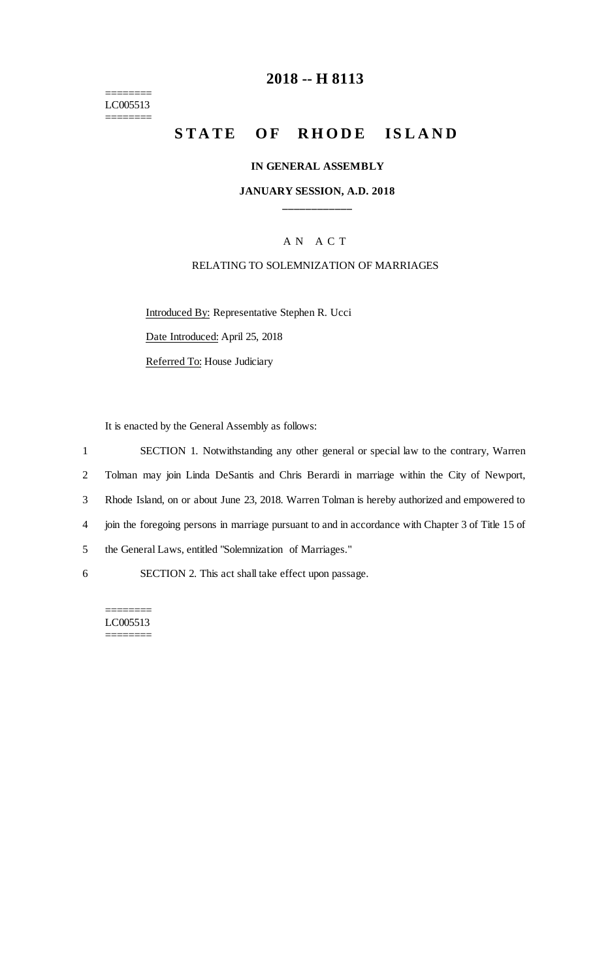======== LC005513 ========

# **2018 -- H 8113**

# **STATE OF RHODE ISLAND**

#### **IN GENERAL ASSEMBLY**

## **JANUARY SESSION, A.D. 2018 \_\_\_\_\_\_\_\_\_\_\_\_**

## A N A C T

### RELATING TO SOLEMNIZATION OF MARRIAGES

Introduced By: Representative Stephen R. Ucci Date Introduced: April 25, 2018

Referred To: House Judiciary

It is enacted by the General Assembly as follows:

 SECTION 1. Notwithstanding any other general or special law to the contrary, Warren Tolman may join Linda DeSantis and Chris Berardi in marriage within the City of Newport, Rhode Island, on or about June 23, 2018. Warren Tolman is hereby authorized and empowered to join the foregoing persons in marriage pursuant to and in accordance with Chapter 3 of Title 15 of the General Laws, entitled "Solemnization of Marriages." SECTION 2. This act shall take effect upon passage.

======== LC005513 ========